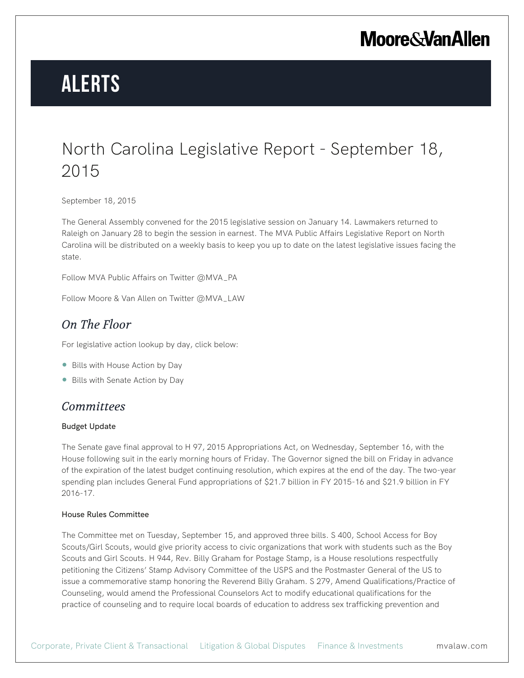## **Moore & Van Allen**

# **Alerts**

### North Carolina Legislative Report - September 18, 2015

September 18, 2015

The General Assembly convened for the 2015 legislative session on January 14. Lawmakers returned to Raleigh on January 28 to begin the session in earnest. The MVA Public Affairs Legislative Report on North Carolina will be distributed on a weekly basis to keep you up to date on the latest legislative issues facing the state.

Follow MVA Public Affairs on Twitter @MVA\_PA

Follow Moore & Van Allen on Twitter @MVA\_LAW

### *On The Floor*

For legislative action lookup by day, click below:

- Bills with House Action by Day
- Bills with Senate Action by Day

### *Committees*

#### Budget Update

The Senate gave final approval to H 97, 2015 Appropriations Act, on Wednesday, September 16, with the House following suit in the early morning hours of Friday. The Governor signed the bill on Friday in advance of the expiration of the latest budget continuing resolution, which expires at the end of the day. The two-year spending plan includes General Fund appropriations of \$21.7 billion in FY 2015-16 and \$21.9 billion in FY 2016-17.

#### House Rules Committee

The Committee met on Tuesday, September 15, and approved three bills. S 400, School Access for Boy Scouts/Girl Scouts, would give priority access to civic organizations that work with students such as the Boy Scouts and Girl Scouts. H 944, Rev. Billy Graham for Postage Stamp, is a House resolutions respectfully petitioning the Citizens' Stamp Advisory Committee of the USPS and the Postmaster General of the US to issue a commemorative stamp honoring the Reverend Billy Graham. S 279, Amend Qualifications/Practice of Counseling, would amend the Professional Counselors Act to modify educational qualifications for the practice of counseling and to require local boards of education to address sex trafficking prevention and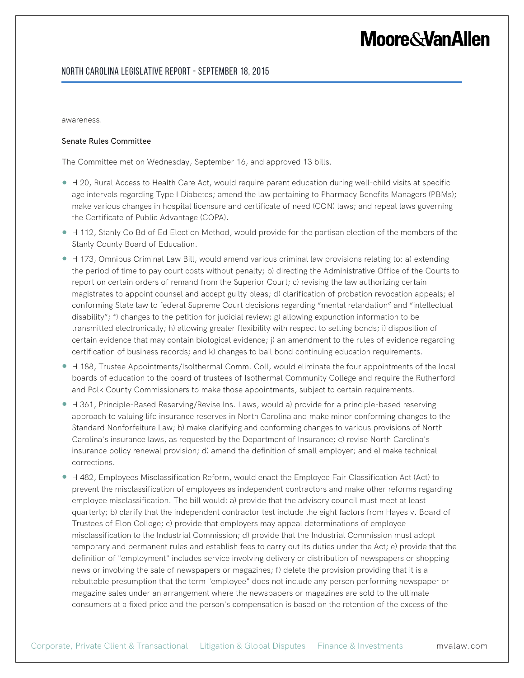## **Moore&VanAllen**

#### North Carolina Legislative Report - September 18, 2015

awareness.

#### Senate Rules Committee

The Committee met on Wednesday, September 16, and approved 13 bills.

- H 20, Rural Access to Health Care Act, would require parent education during well-child visits at specific age intervals regarding Type I Diabetes; amend the law pertaining to Pharmacy Benefits Managers (PBMs); make various changes in hospital licensure and certificate of need (CON) laws; and repeal laws governing the Certificate of Public Advantage (COPA).
- H 112, Stanly Co Bd of Ed Election Method, would provide for the partisan election of the members of the Stanly County Board of Education.
- H 173, Omnibus Criminal Law Bill, would amend various criminal law provisions relating to: a) extending the period of time to pay court costs without penalty; b) directing the Administrative Office of the Courts to report on certain orders of remand from the Superior Court; c) revising the law authorizing certain magistrates to appoint counsel and accept guilty pleas; d) clarification of probation revocation appeals; e) conforming State law to federal Supreme Court decisions regarding "mental retardation" and "intellectual disability"; f) changes to the petition for judicial review; g) allowing expunction information to be transmitted electronically; h) allowing greater flexibility with respect to setting bonds; i) disposition of certain evidence that may contain biological evidence; j) an amendment to the rules of evidence regarding certification of business records; and k) changes to bail bond continuing education requirements.
- H 188, Trustee Appointments/Isolthermal Comm. Coll, would eliminate the four appointments of the local boards of education to the board of trustees of Isothermal Community College and require the Rutherford and Polk County Commissioners to make those appointments, subject to certain requirements.
- H 361, Principle-Based Reserving/Revise Ins. Laws, would a) provide for a principle-based reserving approach to valuing life insurance reserves in North Carolina and make minor conforming changes to the Standard Nonforfeiture Law; b) make clarifying and conforming changes to various provisions of North Carolina's insurance laws, as requested by the Department of Insurance; c) revise North Carolina's insurance policy renewal provision; d) amend the definition of small employer; and e) make technical corrections.
- H 482, Employees Misclassification Reform, would enact the Employee Fair Classification Act (Act) to prevent the misclassification of employees as independent contractors and make other reforms regarding employee misclassification. The bill would: a) provide that the advisory council must meet at least quarterly; b) clarify that the independent contractor test include the eight factors from Hayes v. Board of Trustees of Elon College; c) provide that employers may appeal determinations of employee misclassification to the Industrial Commission; d) provide that the Industrial Commission must adopt temporary and permanent rules and establish fees to carry out its duties under the Act; e) provide that the definition of "employment" includes service involving delivery or distribution of newspapers or shopping news or involving the sale of newspapers or magazines; f) delete the provision providing that it is a rebuttable presumption that the term "employee" does not include any person performing newspaper or magazine sales under an arrangement where the newspapers or magazines are sold to the ultimate consumers at a fixed price and the person's compensation is based on the retention of the excess of the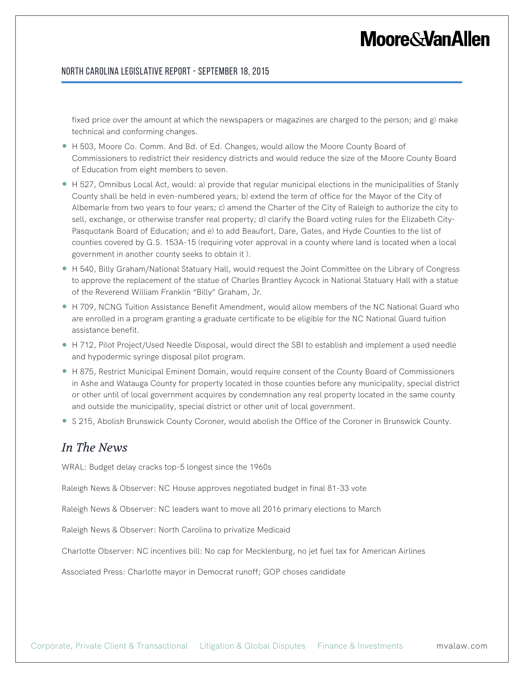## **Moore&VanAllen**

#### North Carolina Legislative Report - September 18, 2015

fixed price over the amount at which the newspapers or magazines are charged to the person; and g) make technical and conforming changes.

- H 503, Moore Co. Comm. And Bd. of Ed. Changes, would allow the Moore County Board of Commissioners to redistrict their residency districts and would reduce the size of the Moore County Board of Education from eight members to seven.
- H 527, Omnibus Local Act, would: a) provide that regular municipal elections in the municipalities of Stanly County shall be held in even-numbered years; b) extend the term of office for the Mayor of the City of Albemarle from two years to four years; c) amend the Charter of the City of Raleigh to authorize the city to sell, exchange, or otherwise transfer real property; d) clarify the Board voting rules for the Elizabeth City-Pasquotank Board of Education; and e) to add Beaufort, Dare, Gates, and Hyde Counties to the list of counties covered by G.S. 153A-15 (requiring voter approval in a county where land is located when a local government in another county seeks to obtain it ).
- H 540, Billy Graham/National Statuary Hall, would request the Joint Committee on the Library of Congress to approve the replacement of the statue of Charles Brantley Aycock in National Statuary Hall with a statue of the Reverend William Franklin "Billy" Graham, Jr.
- H 709, NCNG Tuition Assistance Benefit Amendment, would allow members of the NC National Guard who are enrolled in a program granting a graduate certificate to be eligible for the NC National Guard tuition assistance benefit.
- H 712, Pilot Project/Used Needle Disposal, would direct the SBI to establish and implement a used needle and hypodermic syringe disposal pilot program.
- H 875, Restrict Municipal Eminent Domain, would require consent of the County Board of Commissioners in Ashe and Watauga County for property located in those counties before any municipality, special district or other until of local government acquires by condemnation any real property located in the same county and outside the municipality, special district or other unit of local government.
- S 215, Abolish Brunswick County Coroner, would abolish the Office of the Coroner in Brunswick County.

### *In The News*

WRAL: Budget delay cracks top-5 longest since the 1960s

Raleigh News & Observer: NC House approves negotiated budget in final 81-33 vote

Raleigh News & Observer: NC leaders want to move all 2016 primary elections to March

Raleigh News & Observer: North Carolina to privatize Medicaid

Charlotte Observer: NC incentives bill: No cap for Mecklenburg, no jet fuel tax for American Airlines

Associated Press: Charlotte mayor in Democrat runoff; GOP choses candidate